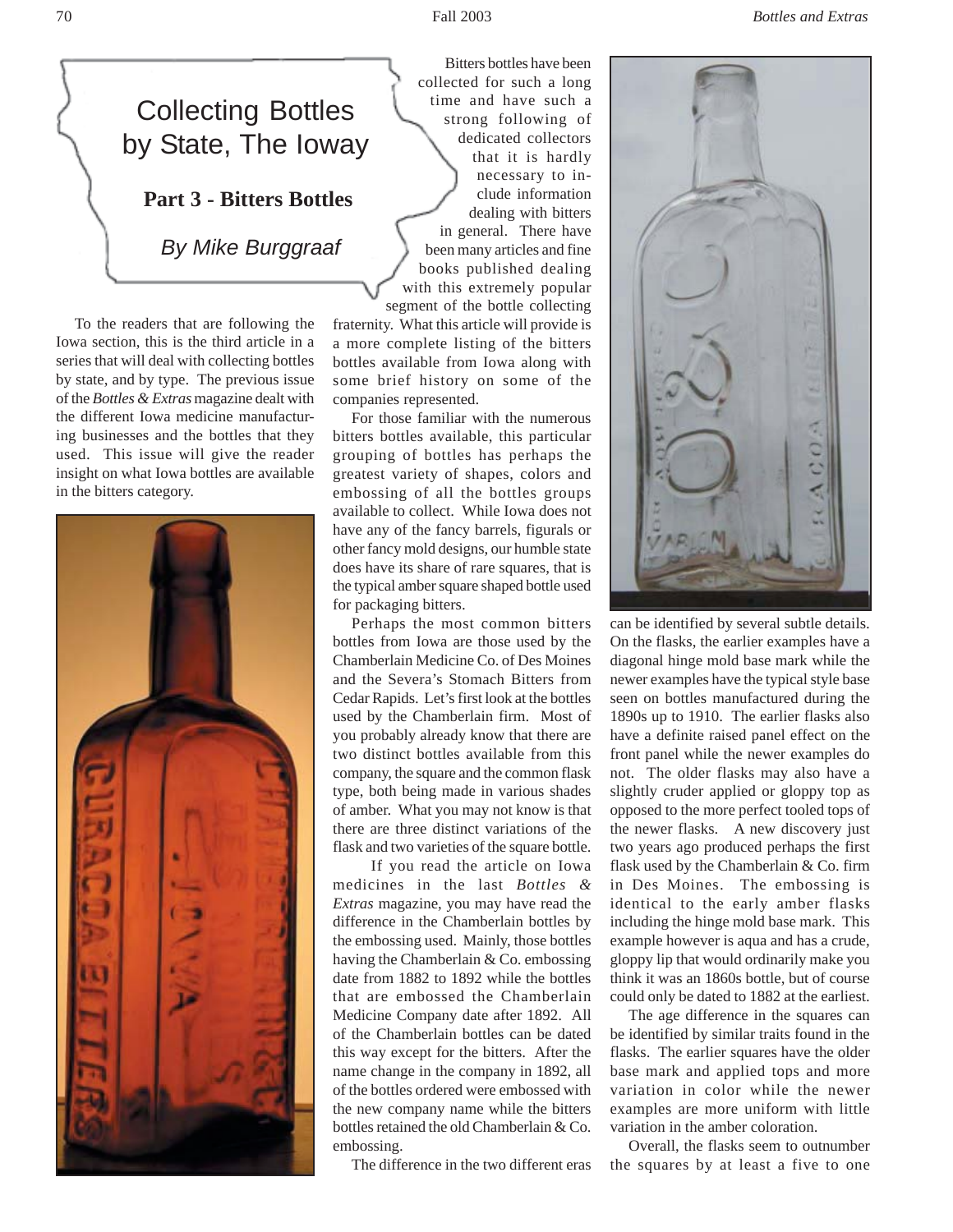

To the readers that are following the Iowa section, this is the third article in a series that will deal with collecting bottles by state, and by type. The previous issue of the *Bottles & Extras* magazine dealt with the different Iowa medicine manufacturing businesses and the bottles that they used. This issue will give the reader insight on what Iowa bottles are available in the bitters category.



Bitters bottles have been collected for such a long time and have such a strong following of dedicated collectors that it is hardly necessary to include information dealing with bitters in general. There have been many articles and fine books published dealing with this extremely popular segment of the bottle collecting

fraternity. What this article will provide is a more complete listing of the bitters bottles available from Iowa along with some brief history on some of the companies represented.

For those familiar with the numerous bitters bottles available, this particular grouping of bottles has perhaps the greatest variety of shapes, colors and embossing of all the bottles groups available to collect. While Iowa does not have any of the fancy barrels, figurals or other fancy mold designs, our humble state does have its share of rare squares, that is the typical amber square shaped bottle used for packaging bitters.

Perhaps the most common bitters bottles from Iowa are those used by the Chamberlain Medicine Co. of Des Moines and the Severa's Stomach Bitters from Cedar Rapids. Let's first look at the bottles used by the Chamberlain firm. Most of you probably already know that there are two distinct bottles available from this company, the square and the common flask type, both being made in various shades of amber. What you may not know is that there are three distinct variations of the flask and two varieties of the square bottle.

 If you read the article on Iowa medicines in the last *Bottles & Extras* magazine, you may have read the difference in the Chamberlain bottles by the embossing used. Mainly, those bottles having the Chamberlain & Co. embossing date from 1882 to 1892 while the bottles that are embossed the Chamberlain Medicine Company date after 1892. All of the Chamberlain bottles can be dated this way except for the bitters. After the name change in the company in 1892, all of the bottles ordered were embossed with the new company name while the bitters bottles retained the old Chamberlain & Co. embossing.

The difference in the two different eras



can be identified by several subtle details. On the flasks, the earlier examples have a diagonal hinge mold base mark while the newer examples have the typical style base seen on bottles manufactured during the 1890s up to 1910. The earlier flasks also have a definite raised panel effect on the front panel while the newer examples do not. The older flasks may also have a slightly cruder applied or gloppy top as opposed to the more perfect tooled tops of the newer flasks. A new discovery just two years ago produced perhaps the first flask used by the Chamberlain & Co. firm in Des Moines. The embossing is identical to the early amber flasks including the hinge mold base mark. This example however is aqua and has a crude, gloppy lip that would ordinarily make you think it was an 1860s bottle, but of course could only be dated to 1882 at the earliest.

The age difference in the squares can be identified by similar traits found in the flasks. The earlier squares have the older base mark and applied tops and more variation in color while the newer examples are more uniform with little variation in the amber coloration.

Overall, the flasks seem to outnumber the squares by at least a five to one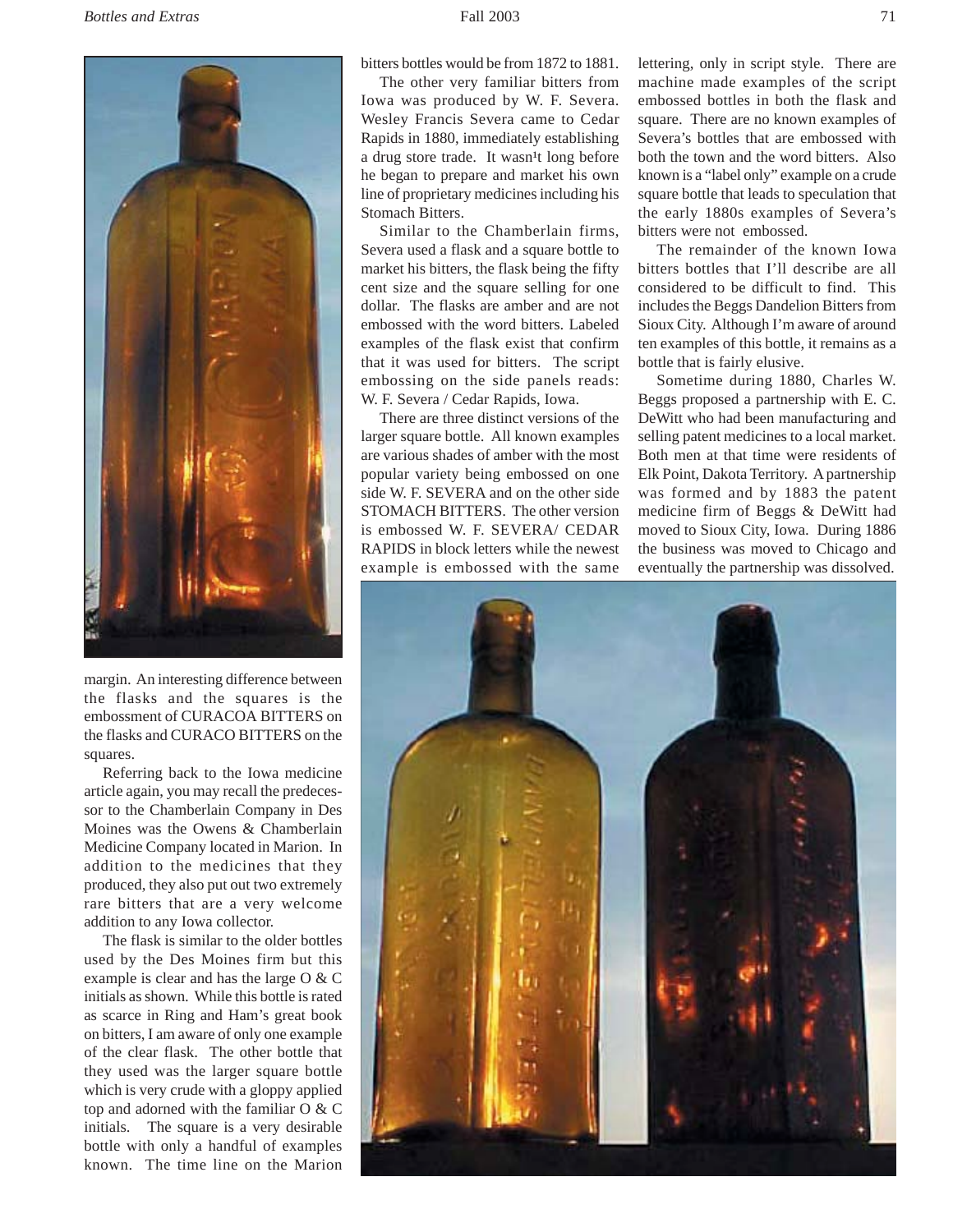

margin. An interesting difference between the flasks and the squares is the embossment of CURACOA BITTERS on the flasks and CURACO BITTERS on the squares.

Referring back to the Iowa medicine article again, you may recall the predecessor to the Chamberlain Company in Des Moines was the Owens & Chamberlain Medicine Company located in Marion. In addition to the medicines that they produced, they also put out two extremely rare bitters that are a very welcome addition to any Iowa collector.

The flask is similar to the older bottles used by the Des Moines firm but this example is clear and has the large O & C initials as shown. While this bottle is rated as scarce in Ring and Ham's great book on bitters, I am aware of only one example of the clear flask. The other bottle that they used was the larger square bottle which is very crude with a gloppy applied top and adorned with the familiar O & C initials. The square is a very desirable bottle with only a handful of examples known. The time line on the Marion

bitters bottles would be from 1872 to 1881.

The other very familiar bitters from Iowa was produced by W. F. Severa. Wesley Francis Severa came to Cedar Rapids in 1880, immediately establishing a drug store trade. It wasn<sup>1</sup>t long before he began to prepare and market his own line of proprietary medicines including his Stomach Bitters.

Similar to the Chamberlain firms, Severa used a flask and a square bottle to market his bitters, the flask being the fifty cent size and the square selling for one dollar. The flasks are amber and are not embossed with the word bitters. Labeled examples of the flask exist that confirm that it was used for bitters. The script embossing on the side panels reads: W. F. Severa / Cedar Rapids, Iowa.

There are three distinct versions of the larger square bottle. All known examples are various shades of amber with the most popular variety being embossed on one side W. F. SEVERA and on the other side STOMACH BITTERS. The other version is embossed W. F. SEVERA/ CEDAR RAPIDS in block letters while the newest example is embossed with the same

lettering, only in script style. There are machine made examples of the script embossed bottles in both the flask and square. There are no known examples of Severa's bottles that are embossed with both the town and the word bitters. Also known is a "label only" example on a crude square bottle that leads to speculation that the early 1880s examples of Severa's bitters were not embossed.

The remainder of the known Iowa bitters bottles that I'll describe are all considered to be difficult to find. This includes the Beggs Dandelion Bitters from Sioux City. Although I'm aware of around ten examples of this bottle, it remains as a bottle that is fairly elusive.

Sometime during 1880, Charles W. Beggs proposed a partnership with E. C. DeWitt who had been manufacturing and selling patent medicines to a local market. Both men at that time were residents of Elk Point, Dakota Territory. A partnership was formed and by 1883 the patent medicine firm of Beggs & DeWitt had moved to Sioux City, Iowa. During 1886 the business was moved to Chicago and eventually the partnership was dissolved.

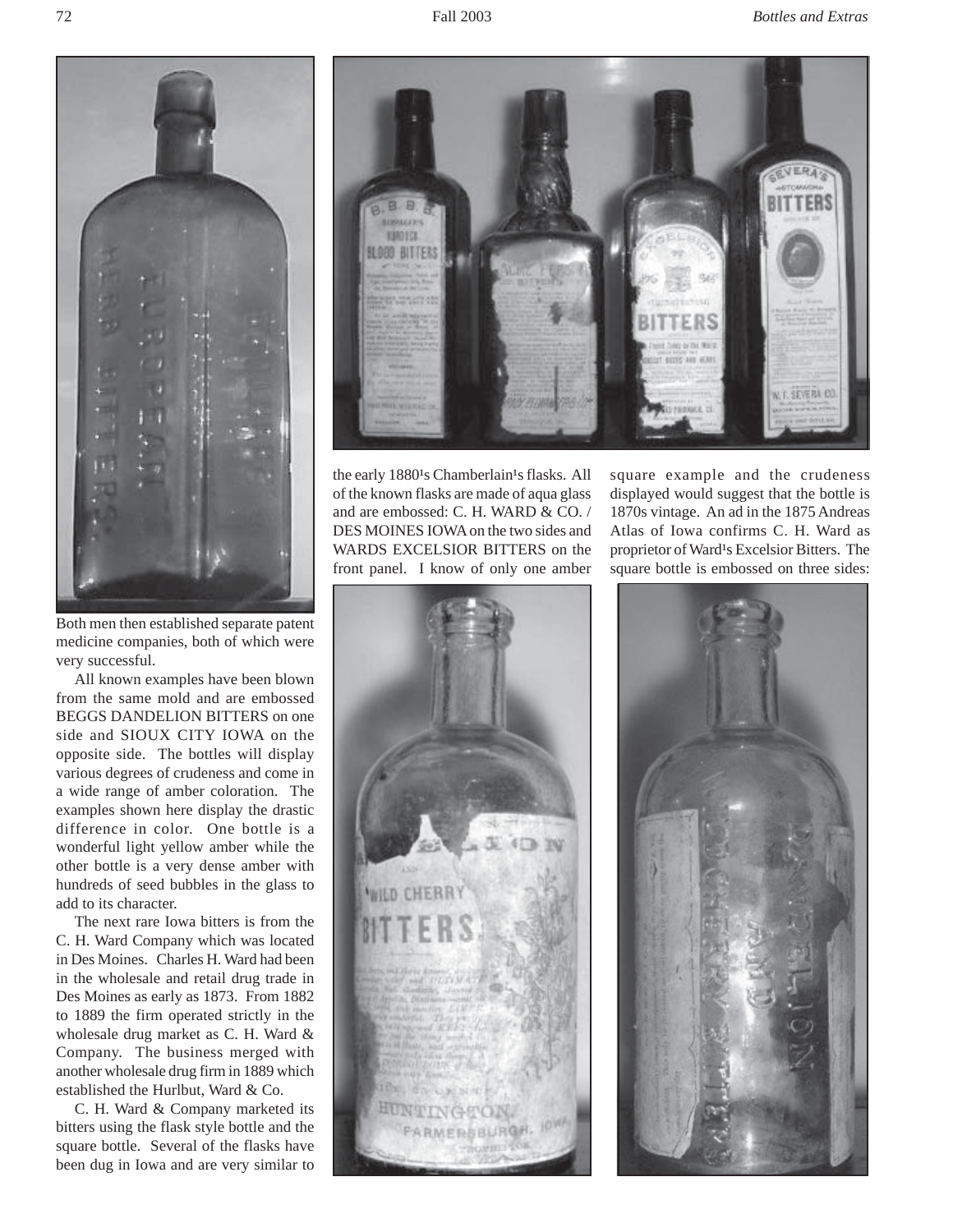

Both men then established separate patent medicine companies, both of which were very successful.

All known examples have been blown from the same mold and are embossed BEGGS DANDELION BITTERS on one side and SIOUX CITY IOWA on the opposite side. The bottles will display various degrees of crudeness and come in a wide range of amber coloration. The examples shown here display the drastic difference in color. One bottle is a wonderful light yellow amber while the other bottle is a very dense amber with hundreds of seed bubbles in the glass to add to its character.

The next rare Iowa bitters is from the C. H. Ward Company which was located in Des Moines. Charles H. Ward had been in the wholesale and retail drug trade in Des Moines as early as 1873. From 1882 to 1889 the firm operated strictly in the wholesale drug market as C. H. Ward & Company. The business merged with another wholesale drug firm in 1889 which established the Hurlbut, Ward & Co.

C. H. Ward & Company marketed its bitters using the flask style bottle and the square bottle. Several of the flasks have been dug in Iowa and are very similar to



the early 1880<sup>1</sup>s Chamberlain<sup>1</sup>s flasks. All of the known flasks are made of aqua glass and are embossed: C. H. WARD & CO. / DES MOINES IOWA on the two sides and WARDS EXCELSIOR BITTERS on the front panel. I know of only one amber

square example and the crudeness displayed would suggest that the bottle is 1870s vintage. An ad in the 1875 Andreas Atlas of Iowa confirms C. H. Ward as proprietor of Ward<sup>1</sup>s Excelsior Bitters. The square bottle is embossed on three sides: